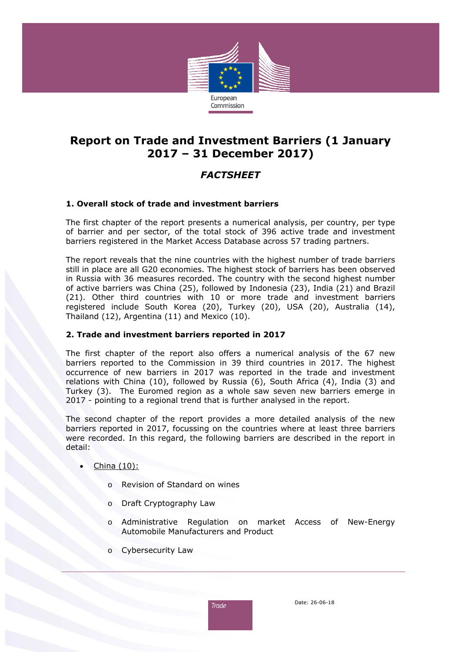

# **Report on Trade and Investment Barriers (1 January 2017 – 31 December 2017)**

## *FACTSHEET*

### **1. Overall stock of trade and investment barriers**

The first chapter of the report presents a numerical analysis, per country, per type of barrier and per sector, of the total stock of 396 active trade and investment barriers registered in the Market Access Database across 57 trading partners.

The report reveals that the nine countries with the highest number of trade barriers still in place are all G20 economies. The highest stock of barriers has been observed in Russia with 36 measures recorded. The country with the second highest number of active barriers was China (25), followed by Indonesia (23), India (21) and Brazil (21). Other third countries with 10 or more trade and investment barriers registered include South Korea (20), Turkey (20), USA (20), Australia (14), Thailand (12), Argentina (11) and Mexico (10).

#### **2. Trade and investment barriers reported in 2017**

The first chapter of the report also offers a numerical analysis of the 67 new barriers reported to the Commission in 39 third countries in 2017. The highest occurrence of new barriers in 2017 was reported in the trade and investment relations with China (10), followed by Russia (6), South Africa (4), India (3) and Turkey (3). The Euromed region as a whole saw seven new barriers emerge in 2017 - pointing to a regional trend that is further analysed in the report.

The second chapter of the report provides a more detailed analysis of the new barriers reported in 2017, focussing on the countries where at least three barriers were recorded. In this regard, the following barriers are described in the report in detail:

- China (10):
	- o Revision of Standard on wines
	- Draft Cryptography Law
	- Administrative Regulation on market Access of New-Energy Automobile Manufacturers and Product
	- Cybersecurity Law



Trade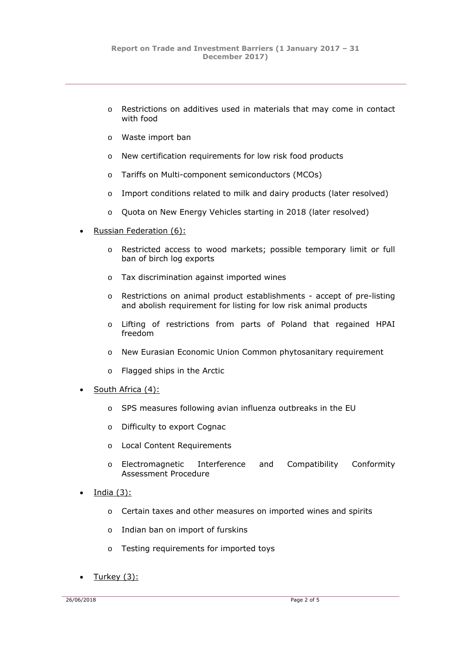- o Restrictions on additives used in materials that may come in contact with food
- o Waste import ban
- o New certification requirements for low risk food products
- o Tariffs on Multi-component semiconductors (MCOs)
- o Import conditions related to milk and dairy products (later resolved)
- o Quota on New Energy Vehicles starting in 2018 (later resolved)
- Russian Federation (6):
	- o Restricted access to wood markets; possible temporary limit or full ban of birch log exports
	- o Tax discrimination against imported wines
	- o Restrictions on animal product establishments accept of pre-listing and abolish requirement for listing for low risk animal products
	- o Lifting of restrictions from parts of Poland that regained HPAI freedom
	- o New Eurasian Economic Union Common phytosanitary requirement
	- o Flagged ships in the Arctic
- South Africa (4):
	- o SPS measures following avian influenza outbreaks in the EU
	- o Difficulty to export Cognac
	- o Local Content Requirements
	- o Electromagnetic Interference and Compatibility Conformity Assessment Procedure
- <u>India (3):</u>
	- o Certain taxes and other measures on imported wines and spirits
	- o Indian ban on import of furskins
	- o Testing requirements for imported toys
- Turkey (3):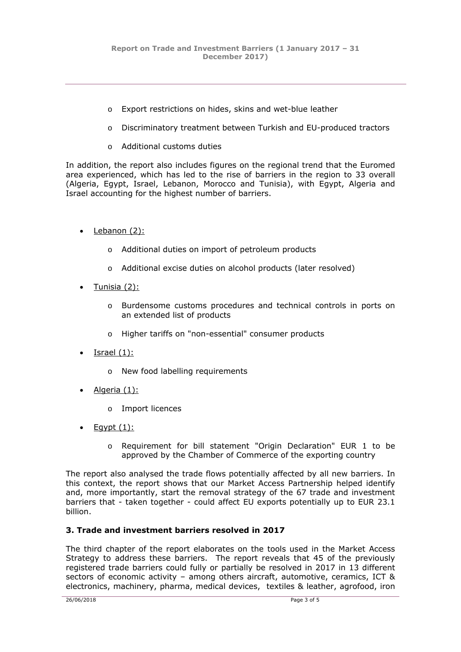- o Export restrictions on hides, skins and wet-blue leather
- o Discriminatory treatment between Turkish and EU-produced tractors
- o Additional customs duties

In addition, the report also includes figures on the regional trend that the Euromed area experienced, which has led to the rise of barriers in the region to 33 overall (Algeria, Egypt, Israel, Lebanon, Morocco and Tunisia), with Egypt, Algeria and Israel accounting for the highest number of barriers.

- $\bullet$  Lebanon  $(2)$ :
	- o Additional duties on import of petroleum products
	- o Additional excise duties on alcohol products (later resolved)
- Tunisia (2):
	- o Burdensome customs procedures and technical controls in ports on an extended list of products
	- o Higher tariffs on "non-essential" consumer products
- $\bullet$  Israel  $(1)$ :
	- o New food labelling requirements
- Algeria (1):
	- o Import licences
- Egypt (1):
	- o Requirement for bill statement "Origin Declaration" EUR 1 to be approved by the Chamber of Commerce of the exporting country

The report also analysed the trade flows potentially affected by all new barriers. In this context, the report shows that our Market Access Partnership helped identify and, more importantly, start the removal strategy of the 67 trade and investment barriers that - taken together - could affect EU exports potentially up to EUR 23.1 billion.

### **3. Trade and investment barriers resolved in 2017**

The third chapter of the report elaborates on the tools used in the Market Access Strategy to address these barriers. The report reveals that 45 of the previously registered trade barriers could fully or partially be resolved in 2017 in 13 different sectors of economic activity – among others aircraft, automotive, ceramics, ICT & electronics, machinery, pharma, medical devices, textiles & leather, agrofood, iron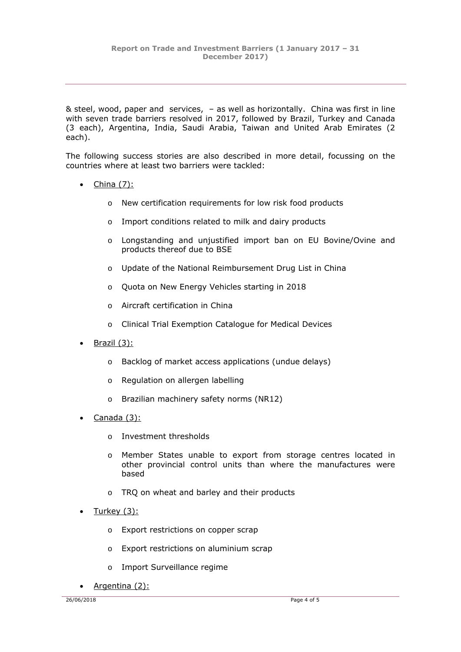& steel, wood, paper and services, – as well as horizontally. China was first in line with seven trade barriers resolved in 2017, followed by Brazil, Turkey and Canada (3 each), Argentina, India, Saudi Arabia, Taiwan and United Arab Emirates (2 each).

The following success stories are also described in more detail, focussing on the countries where at least two barriers were tackled:

- $\bullet$  China  $(7)$ :
	- o New certification requirements for low risk food products
	- o Import conditions related to milk and dairy products
	- o Longstanding and unjustified import ban on EU Bovine/Ovine and products thereof due to BSE
	- o Update of the National Reimbursement Drug List in China
	- o Quota on New Energy Vehicles starting in 2018
	- o Aircraft certification in China
	- o Clinical Trial Exemption Catalogue for Medical Devices
- Brazil (3):
	- o Backlog of market access applications (undue delays)
	- o Regulation on allergen labelling
	- o Brazilian machinery safety norms (NR12)
- Canada (3):
	- o Investment thresholds
	- o Member States unable to export from storage centres located in other provincial control units than where the manufactures were based
	- o TRQ on wheat and barley and their products
- Turkey (3):
	- o Export restrictions on copper scrap
	- o Export restrictions on aluminium scrap
	- o Import Surveillance regime
- Argentina (2):